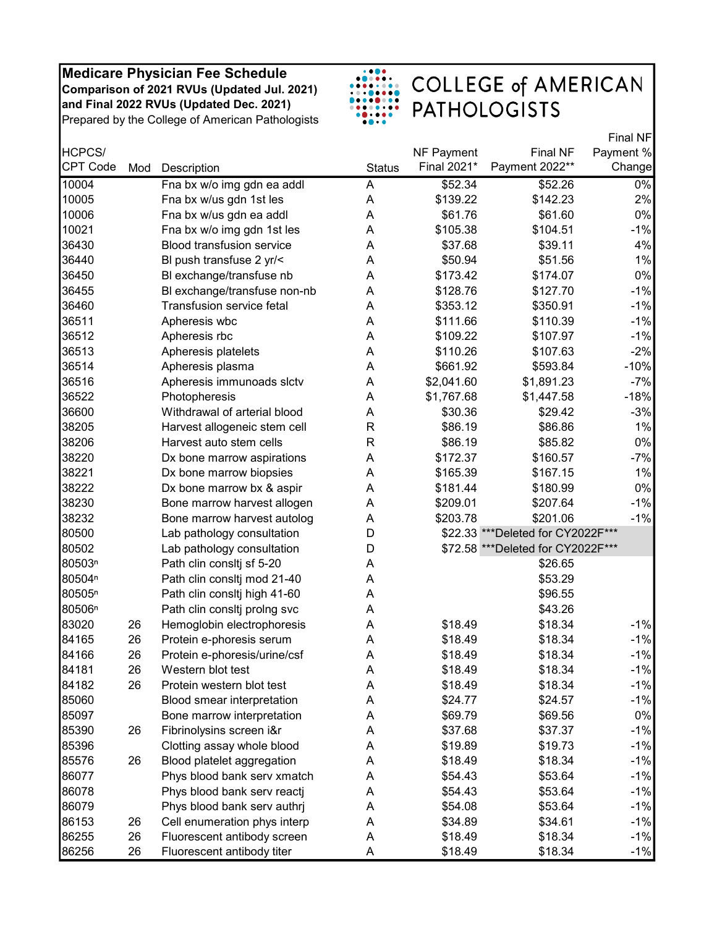

|                    |     |                                  |               |             |                                    | Final NF  |
|--------------------|-----|----------------------------------|---------------|-------------|------------------------------------|-----------|
| HCPCS/             |     |                                  |               | NF Payment  | <b>Final NF</b>                    | Payment % |
| <b>CPT Code</b>    | Mod | Description                      | <b>Status</b> | Final 2021* | Payment 2022**                     | Change    |
| 10004              |     | Fna bx w/o img gdn ea addl       | A             | \$52.34     | \$52.26                            | $0\%$     |
| 10005              |     | Fna bx w/us gdn 1st les          | A             | \$139.22    | \$142.23                           | 2%        |
| 10006              |     | Fna bx w/us gdn ea addl          | Α             | \$61.76     | \$61.60                            | $0\%$     |
| 10021              |     | Fna bx w/o img gdn 1st les       | A             | \$105.38    | \$104.51                           | $-1%$     |
| 36430              |     | <b>Blood transfusion service</b> | A             | \$37.68     | \$39.11                            | 4%        |
| 36440              |     | BI push transfuse 2 yr/<         | A             | \$50.94     | \$51.56                            | 1%        |
| 36450              |     | BI exchange/transfuse nb         | A             | \$173.42    | \$174.07                           | $0\%$     |
| 36455              |     | BI exchange/transfuse non-nb     | A             | \$128.76    | \$127.70                           | $-1%$     |
| 36460              |     | Transfusion service fetal        | A             | \$353.12    | \$350.91                           | $-1%$     |
| 36511              |     | Apheresis wbc                    | A             | \$111.66    | \$110.39                           | $-1%$     |
| 36512              |     | Apheresis rbc                    | A             | \$109.22    | \$107.97                           | $-1%$     |
| 36513              |     | Apheresis platelets              | A             | \$110.26    | \$107.63                           | $-2%$     |
| 36514              |     | Apheresis plasma                 | A             | \$661.92    | \$593.84                           | $-10%$    |
| 36516              |     | Apheresis immunoads slctv        | Α             | \$2,041.60  | \$1,891.23                         | $-7%$     |
| 36522              |     | Photopheresis                    | A             | \$1,767.68  | \$1,447.58                         | $-18%$    |
| 36600              |     | Withdrawal of arterial blood     | A             | \$30.36     | \$29.42                            | $-3%$     |
| 38205              |     | Harvest allogeneic stem cell     | R             | \$86.19     | \$86.86                            | 1%        |
| 38206              |     | Harvest auto stem cells          | R             | \$86.19     | \$85.82                            | 0%        |
| 38220              |     | Dx bone marrow aspirations       | A             | \$172.37    | \$160.57                           | $-7%$     |
| 38221              |     | Dx bone marrow biopsies          | A             | \$165.39    | \$167.15                           | 1%        |
| 38222              |     | Dx bone marrow bx & aspir        | A             | \$181.44    | \$180.99                           | 0%        |
| 38230              |     | Bone marrow harvest allogen      | A             | \$209.01    | \$207.64                           | $-1%$     |
| 38232              |     | Bone marrow harvest autolog      | A             | \$203.78    | \$201.06                           | $-1%$     |
| 80500              |     | Lab pathology consultation       | D             |             | \$22.33 *** Deleted for CY2022F*** |           |
| 80502              |     | Lab pathology consultation       | D             |             | \$72.58 *** Deleted for CY2022F*** |           |
| 80503 <sup>n</sup> |     | Path clin consitj sf 5-20        | A             |             | \$26.65                            |           |
| 80504 <sup>n</sup> |     | Path clin consitj mod 21-40      | A             |             | \$53.29                            |           |
| 80505 <sup>n</sup> |     | Path clin consitj high 41-60     | Α             |             | \$96.55                            |           |
| 80506 <sup>n</sup> |     | Path clin consitj proing svc     | A             |             | \$43.26                            |           |
| 83020              | 26  | Hemoglobin electrophoresis       | Α             | \$18.49     | \$18.34                            | $-1%$     |
| 84165              | 26  | Protein e-phoresis serum         | Α             | \$18.49     | \$18.34                            | $-1%$     |
| 84166              | 26  | Protein e-phoresis/urine/csf     | Α             | \$18.49     | \$18.34                            | $-1%$     |
| 84181              | 26  | Western blot test                | A             | \$18.49     | \$18.34                            | $-1%$     |
| 84182              | 26  | Protein western blot test        | Α             | \$18.49     | \$18.34                            | $-1%$     |
| 85060              |     | Blood smear interpretation       | A             | \$24.77     | \$24.57                            | $-1%$     |
| 85097              |     | Bone marrow interpretation       | A             | \$69.79     | \$69.56                            | $0\%$     |
| 85390              | 26  | Fibrinolysins screen i&r         | Α             | \$37.68     | \$37.37                            | $-1%$     |
| 85396              |     | Clotting assay whole blood       | A             | \$19.89     | \$19.73                            | $-1%$     |
| 85576              | 26  | Blood platelet aggregation       | Α             | \$18.49     | \$18.34                            | $-1%$     |
| 86077              |     | Phys blood bank serv xmatch      | Α             | \$54.43     | \$53.64                            | $-1%$     |
| 86078              |     | Phys blood bank serv reactj      | A             | \$54.43     | \$53.64                            | $-1%$     |
| 86079              |     | Phys blood bank serv authrj      | A             | \$54.08     | \$53.64                            | $-1%$     |
| 86153              | 26  | Cell enumeration phys interp     | Α             | \$34.89     | \$34.61                            | $-1%$     |
| 86255              | 26  | Fluorescent antibody screen      | Α             | \$18.49     | \$18.34                            | $-1%$     |
| 86256              | 26  | Fluorescent antibody titer       | A             | \$18.49     | \$18.34                            | $-1%$     |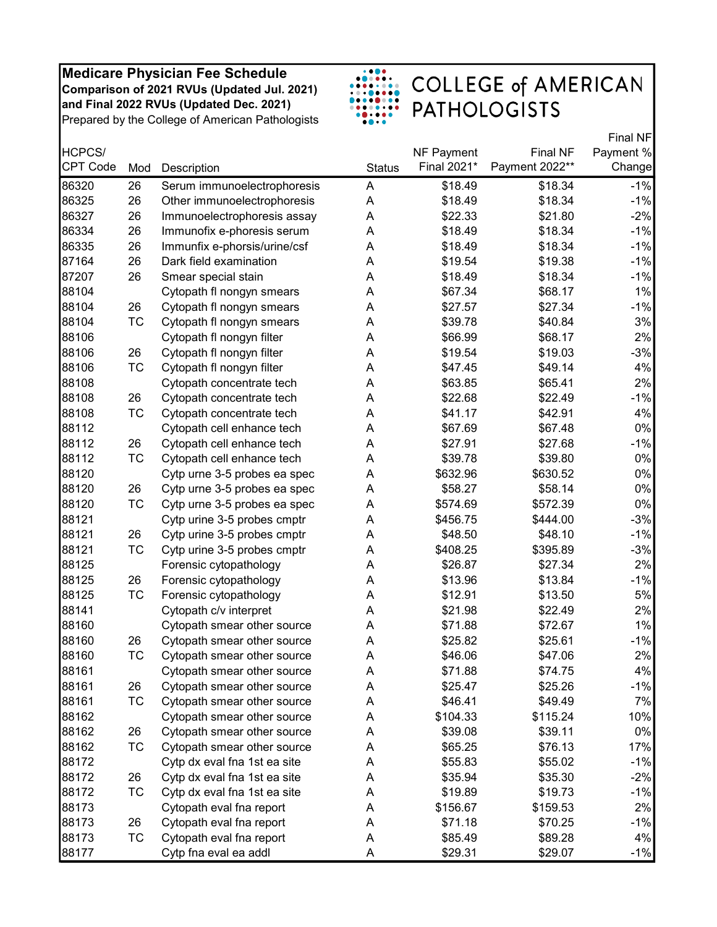

|                 |           |                              |               |             |                 | Final NF  |
|-----------------|-----------|------------------------------|---------------|-------------|-----------------|-----------|
| HCPCS/          |           |                              |               | NF Payment  | <b>Final NF</b> | Payment % |
| <b>CPT Code</b> | Mod       | Description                  | <b>Status</b> | Final 2021* | Payment 2022**  | Change    |
| 86320           | 26        | Serum immunoelectrophoresis  | A             | \$18.49     | \$18.34         | $-1%$     |
| 86325           | 26        | Other immunoelectrophoresis  | Α             | \$18.49     | \$18.34         | $-1%$     |
| 86327           | 26        | Immunoelectrophoresis assay  | Α             | \$22.33     | \$21.80         | $-2%$     |
| 86334           | 26        | Immunofix e-phoresis serum   | A             | \$18.49     | \$18.34         | $-1%$     |
| 86335           | 26        | Immunfix e-phorsis/urine/csf | A             | \$18.49     | \$18.34         | $-1%$     |
| 87164           | 26        | Dark field examination       | A             | \$19.54     | \$19.38         | $-1%$     |
| 87207           | 26        | Smear special stain          | Α             | \$18.49     | \$18.34         | $-1%$     |
| 88104           |           | Cytopath fl nongyn smears    | A             | \$67.34     | \$68.17         | 1%        |
| 88104           | 26        | Cytopath fl nongyn smears    | A             | \$27.57     | \$27.34         | $-1%$     |
| 88104           | TC        | Cytopath fl nongyn smears    | Α             | \$39.78     | \$40.84         | 3%        |
| 88106           |           | Cytopath fl nongyn filter    | A             | \$66.99     | \$68.17         | 2%        |
| 88106           | 26        | Cytopath fl nongyn filter    | A             | \$19.54     | \$19.03         | $-3%$     |
| 88106           | <b>TC</b> | Cytopath fl nongyn filter    | A             | \$47.45     | \$49.14         | 4%        |
| 88108           |           | Cytopath concentrate tech    | Α             | \$63.85     | \$65.41         | 2%        |
| 88108           | 26        | Cytopath concentrate tech    | A             | \$22.68     | \$22.49         | $-1%$     |
| 88108           | <b>TC</b> | Cytopath concentrate tech    | A             | \$41.17     | \$42.91         | 4%        |
| 88112           |           | Cytopath cell enhance tech   | A             | \$67.69     | \$67.48         | 0%        |
| 88112           | 26        | Cytopath cell enhance tech   | A             | \$27.91     | \$27.68         | $-1%$     |
| 88112           | TC        | Cytopath cell enhance tech   | A             | \$39.78     | \$39.80         | 0%        |
| 88120           |           | Cytp urne 3-5 probes ea spec | A             | \$632.96    | \$630.52        | 0%        |
| 88120           | 26        | Cytp urne 3-5 probes ea spec | Α             | \$58.27     | \$58.14         | $0\%$     |
| 88120           | TC        | Cytp urne 3-5 probes ea spec | Α             | \$574.69    | \$572.39        | 0%        |
| 88121           |           | Cytp urine 3-5 probes cmptr  | A             | \$456.75    | \$444.00        | $-3%$     |
| 88121           | 26        | Cytp urine 3-5 probes cmptr  | A             | \$48.50     | \$48.10         | $-1%$     |
| 88121           | <b>TC</b> | Cytp urine 3-5 probes cmptr  | A             | \$408.25    | \$395.89        | $-3%$     |
| 88125           |           | Forensic cytopathology       | Α             | \$26.87     | \$27.34         | 2%        |
| 88125           | 26        | Forensic cytopathology       | Α             | \$13.96     | \$13.84         | $-1%$     |
| 88125           | <b>TC</b> | Forensic cytopathology       | A             | \$12.91     | \$13.50         | 5%        |
| 88141           |           | Cytopath c/v interpret       | Α             | \$21.98     | \$22.49         | 2%        |
| 88160           |           | Cytopath smear other source  | A             | \$71.88     | \$72.67         | 1%        |
| 88160           | 26        | Cytopath smear other source  | A             | \$25.82     | \$25.61         | $-1%$     |
| 88160           | <b>TC</b> | Cytopath smear other source  | A             | \$46.06     | \$47.06         | 2%        |
| 88161           |           | Cytopath smear other source  | Α             | \$71.88     | \$74.75         | 4%        |
| 88161           | 26        | Cytopath smear other source  | Α             | \$25.47     | \$25.26         | $-1%$     |
| 88161           | TC        | Cytopath smear other source  | A             | \$46.41     | \$49.49         | 7%        |
| 88162           |           | Cytopath smear other source  | A             | \$104.33    | \$115.24        | 10%       |
| 88162           | 26        | Cytopath smear other source  | A             | \$39.08     | \$39.11         | 0%        |
| 88162           | TC        | Cytopath smear other source  | Α             | \$65.25     | \$76.13         | 17%       |
| 88172           |           | Cytp dx eval fna 1st ea site | A             | \$55.83     | \$55.02         | $-1%$     |
| 88172           | 26        | Cytp dx eval fna 1st ea site | Α             | \$35.94     | \$35.30         | $-2%$     |
| 88172           | TC        | Cytp dx eval fna 1st ea site | A             | \$19.89     | \$19.73         | $-1%$     |
| 88173           |           | Cytopath eval fna report     | A             | \$156.67    | \$159.53        | 2%        |
| 88173           | 26        | Cytopath eval fna report     | A             | \$71.18     | \$70.25         | $-1%$     |
| 88173           | TC        | Cytopath eval fna report     | Α             | \$85.49     | \$89.28         | 4%        |
| 88177           |           | Cytp fna eval ea addl        | A             | \$29.31     | \$29.07         | $-1%$     |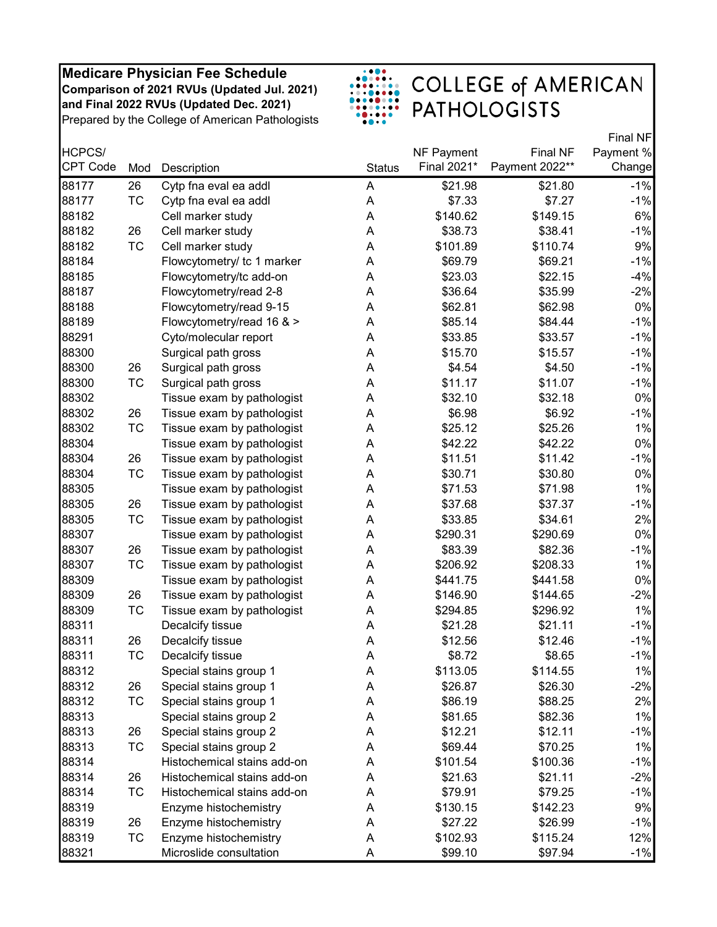

|                 |           |                             |               |                   |                 | Final NF  |
|-----------------|-----------|-----------------------------|---------------|-------------------|-----------------|-----------|
| HCPCS/          |           |                             |               | <b>NF Payment</b> | <b>Final NF</b> | Payment % |
| <b>CPT Code</b> | Mod       | Description                 | <b>Status</b> | Final 2021*       | Payment 2022**  | Change    |
| 88177           | 26        | Cytp fna eval ea addl       | A             | \$21.98           | \$21.80         | $-1%$     |
| 88177           | <b>TC</b> | Cytp fna eval ea addl       | Α             | \$7.33            | \$7.27          | $-1%$     |
| 88182           |           | Cell marker study           | A             | \$140.62          | \$149.15        | 6%        |
| 88182           | 26        | Cell marker study           | A             | \$38.73           | \$38.41         | $-1%$     |
| 88182           | <b>TC</b> | Cell marker study           | A             | \$101.89          | \$110.74        | 9%        |
| 88184           |           | Flowcytometry/ tc 1 marker  | A             | \$69.79           | \$69.21         | $-1%$     |
| 88185           |           | Flowcytometry/tc add-on     | A             | \$23.03           | \$22.15         | $-4%$     |
| 88187           |           | Flowcytometry/read 2-8      | A             | \$36.64           | \$35.99         | $-2%$     |
| 88188           |           | Flowcytometry/read 9-15     | A             | \$62.81           | \$62.98         | 0%        |
| 88189           |           | Flowcytometry/read 16 & >   | A             | \$85.14           | \$84.44         | $-1%$     |
| 88291           |           | Cyto/molecular report       | A             | \$33.85           | \$33.57         | $-1%$     |
| 88300           |           | Surgical path gross         | A             | \$15.70           | \$15.57         | $-1%$     |
| 88300           | 26        | Surgical path gross         | Α             | \$4.54            | \$4.50          | $-1%$     |
| 88300           | <b>TC</b> | Surgical path gross         | A             | \$11.17           | \$11.07         | $-1%$     |
| 88302           |           | Tissue exam by pathologist  | A             | \$32.10           | \$32.18         | 0%        |
| 88302           | 26        | Tissue exam by pathologist  | Α             | \$6.98            | \$6.92          | $-1%$     |
| 88302           | <b>TC</b> | Tissue exam by pathologist  | A             | \$25.12           | \$25.26         | 1%        |
| 88304           |           | Tissue exam by pathologist  | A             | \$42.22           | \$42.22         | $0\%$     |
| 88304           | 26        | Tissue exam by pathologist  | A             | \$11.51           | \$11.42         | $-1%$     |
| 88304           | <b>TC</b> | Tissue exam by pathologist  | A             | \$30.71           | \$30.80         | 0%        |
| 88305           |           | Tissue exam by pathologist  | Α             | \$71.53           | \$71.98         | 1%        |
| 88305           | 26        | Tissue exam by pathologist  | A             | \$37.68           | \$37.37         | $-1%$     |
| 88305           | <b>TC</b> | Tissue exam by pathologist  | A             | \$33.85           | \$34.61         | 2%        |
| 88307           |           | Tissue exam by pathologist  | A             | \$290.31          | \$290.69        | $0\%$     |
| 88307           | 26        | Tissue exam by pathologist  | A             | \$83.39           | \$82.36         | $-1%$     |
| 88307           | <b>TC</b> | Tissue exam by pathologist  | Α             | \$206.92          | \$208.33        | 1%        |
| 88309           |           | Tissue exam by pathologist  | Α             | \$441.75          | \$441.58        | $0\%$     |
| 88309           | 26        | Tissue exam by pathologist  | A             | \$146.90          | \$144.65        | $-2%$     |
| 88309           | TC        | Tissue exam by pathologist  | A             | \$294.85          | \$296.92        | 1%        |
| 88311           |           | Decalcify tissue            | Α             | \$21.28           | \$21.11         | $-1%$     |
| 88311           | 26        | Decalcify tissue            | A             | \$12.56           | \$12.46         | $-1%$     |
| 88311           | <b>TC</b> | Decalcify tissue            | A             | \$8.72            | \$8.65          | $-1%$     |
| 88312           |           | Special stains group 1      | Α             | \$113.05          | \$114.55        | 1%        |
| 88312           | 26        | Special stains group 1      | Α             | \$26.87           | \$26.30         | $-2%$     |
| 88312           | ТC        | Special stains group 1      | Α             | \$86.19           | \$88.25         | 2%        |
| 88313           |           | Special stains group 2      | A             | \$81.65           | \$82.36         | 1%        |
| 88313           | 26        | Special stains group 2      | A             | \$12.21           | \$12.11         | $-1%$     |
| 88313           | ТC        | Special stains group 2      | Α             | \$69.44           | \$70.25         | 1%        |
| 88314           |           | Histochemical stains add-on | Α             | \$101.54          | \$100.36        | $-1%$     |
| 88314           | 26        | Histochemical stains add-on | Α             | \$21.63           | \$21.11         | $-2%$     |
| 88314           | TC        | Histochemical stains add-on | Α             | \$79.91           | \$79.25         | $-1%$     |
| 88319           |           | Enzyme histochemistry       | Α             | \$130.15          | \$142.23        | 9%        |
| 88319           | 26        | Enzyme histochemistry       | Α             | \$27.22           | \$26.99         | $-1%$     |
| 88319           | ТC        | Enzyme histochemistry       | Α             | \$102.93          | \$115.24        | 12%       |
| 88321           |           | Microslide consultation     | Α             | \$99.10           | \$97.94         | $-1%$     |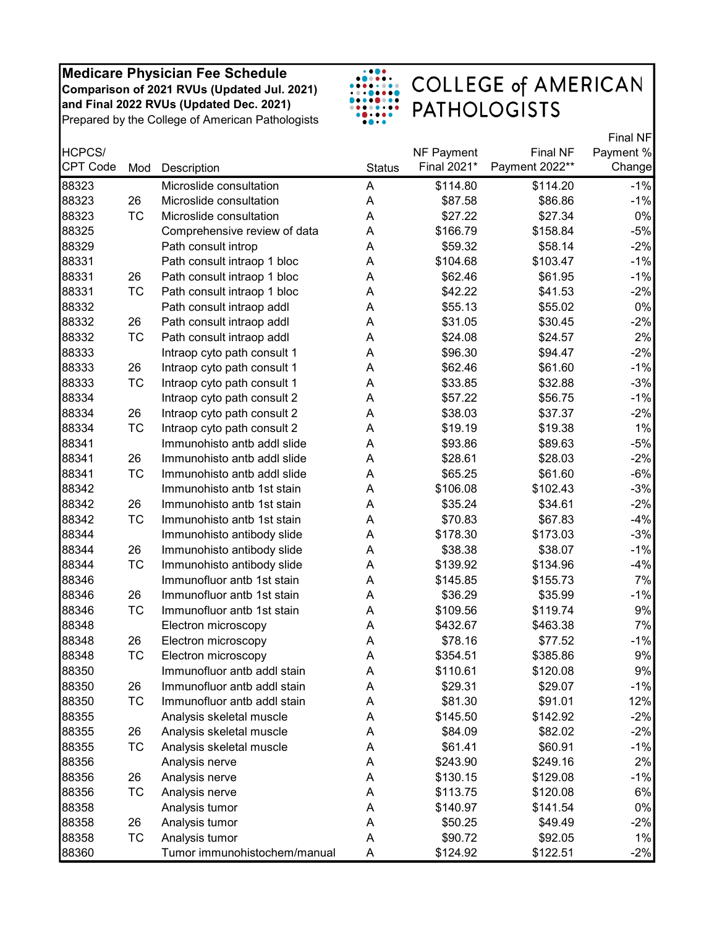

|                 |           |                              |               |                   |                 | Final NF  |
|-----------------|-----------|------------------------------|---------------|-------------------|-----------------|-----------|
| HCPCS/          |           |                              |               | <b>NF Payment</b> | <b>Final NF</b> | Payment % |
| <b>CPT Code</b> | Mod       | Description                  | <b>Status</b> | Final 2021*       | Payment 2022**  | Change    |
| 88323           |           | Microslide consultation      | A             | \$114.80          | \$114.20        | $-1%$     |
| 88323           | 26        | Microslide consultation      | Α             | \$87.58           | \$86.86         | $-1%$     |
| 88323           | <b>TC</b> | Microslide consultation      | A             | \$27.22           | \$27.34         | $0\%$     |
| 88325           |           | Comprehensive review of data | A             | \$166.79          | \$158.84        | $-5%$     |
| 88329           |           | Path consult introp          | A             | \$59.32           | \$58.14         | $-2%$     |
| 88331           |           | Path consult intraop 1 bloc  | A             | \$104.68          | \$103.47        | $-1%$     |
| 88331           | 26        | Path consult intraop 1 bloc  | A             | \$62.46           | \$61.95         | $-1%$     |
| 88331           | TC        | Path consult intraop 1 bloc  | A             | \$42.22           | \$41.53         | $-2%$     |
| 88332           |           | Path consult intraop addl    | A             | \$55.13           | \$55.02         | $0\%$     |
| 88332           | 26        | Path consult intraop addl    | A             | \$31.05           | \$30.45         | $-2%$     |
| 88332           | TC        | Path consult intraop addl    | A             | \$24.08           | \$24.57         | 2%        |
| 88333           |           | Intraop cyto path consult 1  | A             | \$96.30           | \$94.47         | $-2%$     |
| 88333           | 26        | Intraop cyto path consult 1  | A             | \$62.46           | \$61.60         | $-1%$     |
| 88333           | <b>TC</b> | Intraop cyto path consult 1  | A             | \$33.85           | \$32.88         | $-3%$     |
| 88334           |           | Intraop cyto path consult 2  | A             | \$57.22           | \$56.75         | $-1%$     |
| 88334           | 26        | Intraop cyto path consult 2  | A             | \$38.03           | \$37.37         | $-2%$     |
| 88334           | <b>TC</b> | Intraop cyto path consult 2  | A             | \$19.19           | \$19.38         | 1%        |
| 88341           |           | Immunohisto antb addl slide  | A             | \$93.86           | \$89.63         | $-5%$     |
| 88341           | 26        | Immunohisto antb addl slide  | A             | \$28.61           | \$28.03         | $-2%$     |
| 88341           | TC        | Immunohisto antb addl slide  | A             | \$65.25           | \$61.60         | $-6%$     |
| 88342           |           | Immunohisto antb 1st stain   | A             | \$106.08          | \$102.43        | $-3%$     |
| 88342           | 26        | Immunohisto antb 1st stain   | Α             | \$35.24           | \$34.61         | $-2%$     |
| 88342           | <b>TC</b> | Immunohisto antb 1st stain   | A             | \$70.83           | \$67.83         | $-4%$     |
| 88344           |           | Immunohisto antibody slide   | A             | \$178.30          | \$173.03        | $-3%$     |
| 88344           | 26        | Immunohisto antibody slide   | A             | \$38.38           | \$38.07         | $-1%$     |
| 88344           | <b>TC</b> | Immunohisto antibody slide   | A             | \$139.92          | \$134.96        | $-4%$     |
| 88346           |           | Immunofluor antb 1st stain   | A             | \$145.85          | \$155.73        | 7%        |
| 88346           | 26        | Immunofluor antb 1st stain   | A             | \$36.29           | \$35.99         | $-1%$     |
| 88346           | <b>TC</b> | Immunofluor antb 1st stain   | A             | \$109.56          | \$119.74        | 9%        |
| 88348           |           | Electron microscopy          | A             | \$432.67          | \$463.38        | 7%        |
| 88348           | 26        | Electron microscopy          | A             | \$78.16           | \$77.52         | $-1%$     |
| 88348           | <b>TC</b> | Electron microscopy          | A             | \$354.51          | \$385.86        | 9%        |
| 88350           |           | Immunofluor antb addl stain  | A             | \$110.61          | \$120.08        | 9%        |
| 88350           | 26        | Immunofluor antb addl stain  | Α             | \$29.31           | \$29.07         | $-1%$     |
| 88350           | ТC        | Immunofluor antb addl stain  | Α             | \$81.30           | \$91.01         | 12%       |
| 88355           |           | Analysis skeletal muscle     | A             | \$145.50          | \$142.92        | $-2%$     |
| 88355           | 26        | Analysis skeletal muscle     | Α             | \$84.09           | \$82.02         | $-2%$     |
| 88355           | <b>TC</b> | Analysis skeletal muscle     | Α             | \$61.41           | \$60.91         | $-1%$     |
| 88356           |           | Analysis nerve               | Α             | \$243.90          | \$249.16        | 2%        |
| 88356           | 26        | Analysis nerve               | Α             | \$130.15          | \$129.08        | $-1%$     |
| 88356           | <b>TC</b> | Analysis nerve               | Α             | \$113.75          | \$120.08        | 6%        |
| 88358           |           | Analysis tumor               | A             | \$140.97          | \$141.54        | 0%        |
| 88358           | 26        | Analysis tumor               | Α             | \$50.25           | \$49.49         | $-2%$     |
| 88358           | <b>TC</b> | Analysis tumor               | Α             | \$90.72           | \$92.05         | 1%        |
| 88360           |           | Tumor immunohistochem/manual | A             | \$124.92          | \$122.51        | $-2%$     |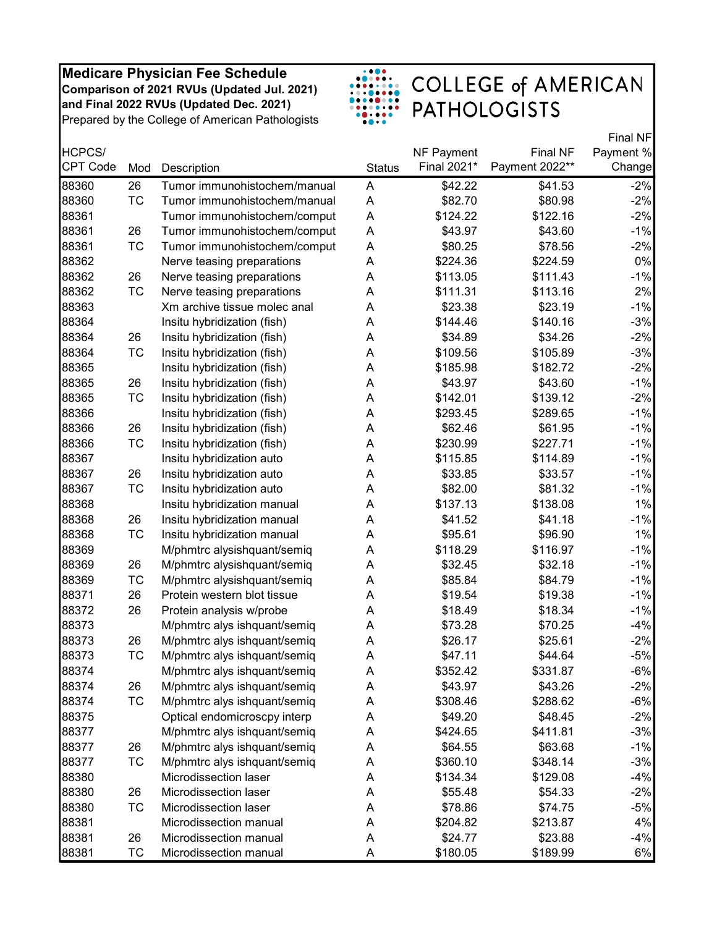

|                 |           |                              |               |                   |                 | Final NF  |
|-----------------|-----------|------------------------------|---------------|-------------------|-----------------|-----------|
| HCPCS/          |           |                              |               | <b>NF Payment</b> | <b>Final NF</b> | Payment % |
| <b>CPT Code</b> | Mod       | Description                  | <b>Status</b> | Final 2021*       | Payment 2022**  | Change    |
| 88360           | 26        | Tumor immunohistochem/manual | A             | \$42.22           | \$41.53         | $-2%$     |
| 88360           | <b>TC</b> | Tumor immunohistochem/manual | A             | \$82.70           | \$80.98         | $-2%$     |
| 88361           |           | Tumor immunohistochem/comput | Α             | \$124.22          | \$122.16        | $-2%$     |
| 88361           | 26        | Tumor immunohistochem/comput | Α             | \$43.97           | \$43.60         | $-1%$     |
| 88361           | <b>TC</b> | Tumor immunohistochem/comput | A             | \$80.25           | \$78.56         | $-2%$     |
| 88362           |           | Nerve teasing preparations   | A             | \$224.36          | \$224.59        | 0%        |
| 88362           | 26        | Nerve teasing preparations   | A             | \$113.05          | \$111.43        | $-1%$     |
| 88362           | TC        | Nerve teasing preparations   | A             | \$111.31          | \$113.16        | 2%        |
| 88363           |           | Xm archive tissue molec anal | Α             | \$23.38           | \$23.19         | $-1%$     |
| 88364           |           | Insitu hybridization (fish)  | A             | \$144.46          | \$140.16        | $-3%$     |
| 88364           | 26        | Insitu hybridization (fish)  | A             | \$34.89           | \$34.26         | $-2%$     |
| 88364           | <b>TC</b> | Insitu hybridization (fish)  | A             | \$109.56          | \$105.89        | $-3%$     |
| 88365           |           | Insitu hybridization (fish)  | Α             | \$185.98          | \$182.72        | $-2%$     |
| 88365           | 26        | Insitu hybridization (fish)  | A             | \$43.97           | \$43.60         | $-1%$     |
| 88365           | <b>TC</b> | Insitu hybridization (fish)  | A             | \$142.01          | \$139.12        | $-2%$     |
| 88366           |           | Insitu hybridization (fish)  | Α             | \$293.45          | \$289.65        | $-1%$     |
| 88366           | 26        | Insitu hybridization (fish)  | Α             | \$62.46           | \$61.95         | $-1%$     |
| 88366           | <b>TC</b> | Insitu hybridization (fish)  | A             | \$230.99          | \$227.71        | $-1%$     |
| 88367           |           | Insitu hybridization auto    | A             | \$115.85          | \$114.89        | $-1%$     |
| 88367           | 26        | Insitu hybridization auto    | A             | \$33.85           | \$33.57         | $-1%$     |
| 88367           | TC        | Insitu hybridization auto    | Α             | \$82.00           | \$81.32         | $-1%$     |
| 88368           |           | Insitu hybridization manual  | A             | \$137.13          | \$138.08        | 1%        |
| 88368           | 26        | Insitu hybridization manual  | A             | \$41.52           | \$41.18         | $-1%$     |
| 88368           | <b>TC</b> | Insitu hybridization manual  | A             | \$95.61           | \$96.90         | 1%        |
| 88369           |           | M/phmtrc alysishquant/semiq  | A             | \$118.29          | \$116.97        | $-1%$     |
| 88369           | 26        | M/phmtrc alysishquant/semiq  | Α             | \$32.45           | \$32.18         | $-1%$     |
| 88369           | TC        | M/phmtrc alysishquant/semiq  | A             | \$85.84           | \$84.79         | $-1%$     |
| 88371           | 26        | Protein western blot tissue  | Α             | \$19.54           | \$19.38         | $-1%$     |
| 88372           | 26        | Protein analysis w/probe     | Α             | \$18.49           | \$18.34         | $-1%$     |
| 88373           |           | M/phmtrc alys ishquant/semiq | Α             | \$73.28           | \$70.25         | $-4%$     |
| 88373           | 26        | M/phmtrc alys ishquant/semiq | Α             | \$26.17           | \$25.61         | $-2%$     |
| 88373           | <b>TC</b> | M/phmtrc alys ishquant/semiq | A             | \$47.11           | \$44.64         | $-5%$     |
| 88374           |           | M/phmtrc alys ishquant/semiq | Α             | \$352.42          | \$331.87        | $-6%$     |
| 88374           | 26        | M/phmtrc alys ishquant/semiq | Α             | \$43.97           | \$43.26         | $-2%$     |
| 88374           | <b>TC</b> | M/phmtrc alys ishquant/semiq | Α             | \$308.46          | \$288.62        | $-6%$     |
| 88375           |           | Optical endomicroscpy interp | A             | \$49.20           | \$48.45         | $-2%$     |
| 88377           |           | M/phmtrc alys ishquant/semiq | A             | \$424.65          | \$411.81        | $-3%$     |
| 88377           | 26        | M/phmtrc alys ishquant/semiq | A             | \$64.55           | \$63.68         | $-1%$     |
| 88377           | TC        | M/phmtrc alys ishquant/semiq | Α             | \$360.10          | \$348.14        | $-3%$     |
| 88380           |           | Microdissection laser        | Α             | \$134.34          | \$129.08        | $-4%$     |
| 88380           | 26        | Microdissection laser        | Α             | \$55.48           | \$54.33         | $-2%$     |
| 88380           | TC        | Microdissection laser        | A             | \$78.86           | \$74.75         | $-5%$     |
| 88381           |           | Microdissection manual       | Α             | \$204.82          | \$213.87        | 4%        |
| 88381           | 26        | Microdissection manual       | Α             | \$24.77           | \$23.88         | $-4%$     |
| 88381           | ТC        | Microdissection manual       | Α             | \$180.05          | \$189.99        | 6%        |